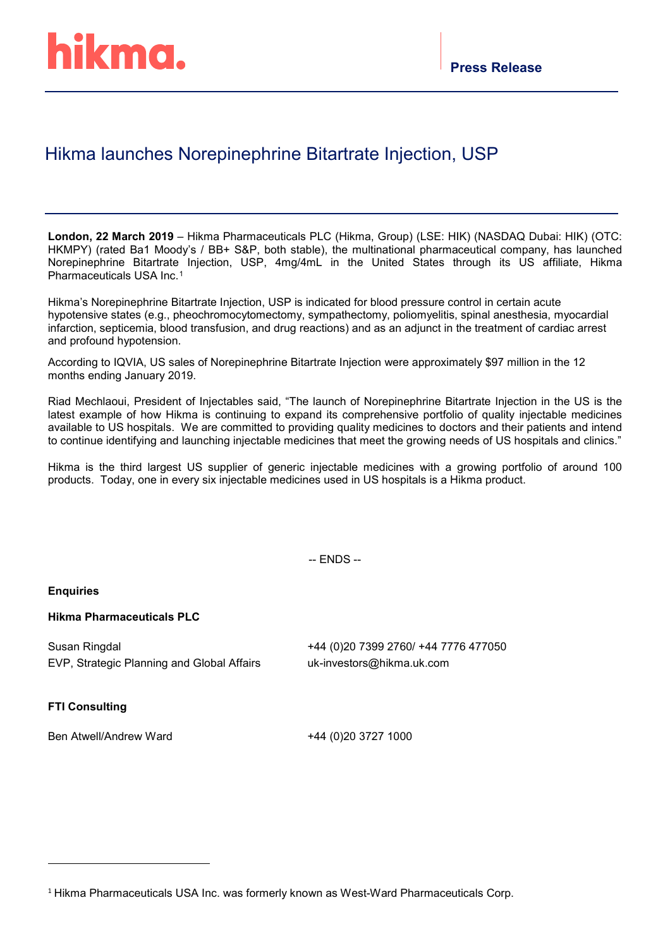# Hikma launches Norepinephrine Bitartrate Injection, USP

**London, 22 March 2019** – Hikma Pharmaceuticals PLC (Hikma, Group) (LSE: HIK) (NASDAQ Dubai: HIK) (OTC: HKMPY) (rated Ba1 Moody's / BB+ S&P, both stable), the multinational pharmaceutical company, has launched Norepinephrine Bitartrate Injection, USP, 4mg/4mL in the United States through its US affiliate, Hikma Pharmaceuticals USA Inc.[1](#page-0-0)

Hikma's Norepinephrine Bitartrate Injection, USP is indicated for blood pressure control in certain acute hypotensive states (e.g., pheochromocytomectomy, sympathectomy, poliomyelitis, spinal anesthesia, myocardial infarction, septicemia, blood transfusion, and drug reactions) and as an adjunct in the treatment of cardiac arrest and profound hypotension.

According to IQVIA, US sales of Norepinephrine Bitartrate Injection were approximately \$97 million in the 12 months ending January 2019.

Riad Mechlaoui, President of Injectables said, "The launch of Norepinephrine Bitartrate Injection in the US is the latest example of how Hikma is continuing to expand its comprehensive portfolio of quality injectable medicines available to US hospitals. We are committed to providing quality medicines to doctors and their patients and intend to continue identifying and launching injectable medicines that meet the growing needs of US hospitals and clinics."

Hikma is the third largest US supplier of generic injectable medicines with a growing portfolio of around 100 products. Today, one in every six injectable medicines used in US hospitals is a Hikma product.

-- ENDS --

### **Enquiries**

# **Hikma Pharmaceuticals PLC**

Susan Ringdal EVP, Strategic Planning and Global Affairs +44 (0)20 7399 2760/ +44 7776 477050 uk-investors@hikma.uk.com

# **FTI Consulting**

-

Ben Atwell/Andrew Ward +44 (0)20 3727 1000

<span id="page-0-0"></span><sup>1</sup> Hikma Pharmaceuticals USA Inc. was formerly known as West-Ward Pharmaceuticals Corp.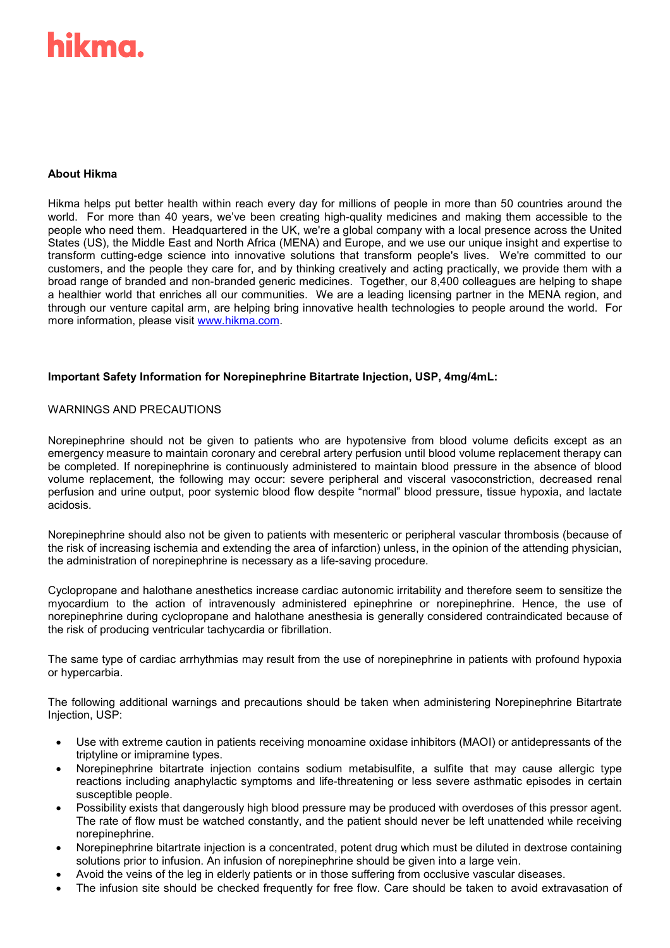# hikma

# **About Hikma**

Hikma helps put better health within reach every day for millions of people in more than 50 countries around the world. For more than 40 years, we've been creating high-quality medicines and making them accessible to the people who need them. Headquartered in the UK, we're a global company with a local presence across the United States (US), the Middle East and North Africa (MENA) and Europe, and we use our unique insight and expertise to transform cutting-edge science into innovative solutions that transform people's lives. We're committed to our customers, and the people they care for, and by thinking creatively and acting practically, we provide them with a broad range of branded and non-branded generic medicines. Together, our 8,400 colleagues are helping to shape a healthier world that enriches all our communities. We are a leading licensing partner in the MENA region, and through our venture capital arm, are helping bring innovative health technologies to people around the world. For more information, please visit [www.hikma.com.](http://www.hikma.com/)

### **Important Safety Information for Norepinephrine Bitartrate Injection, USP, 4mg/4mL:**

### WARNINGS AND PRECAUTIONS

Norepinephrine should not be given to patients who are hypotensive from blood volume deficits except as an emergency measure to maintain coronary and cerebral artery perfusion until blood volume replacement therapy can be completed. If norepinephrine is continuously administered to maintain blood pressure in the absence of blood volume replacement, the following may occur: severe peripheral and visceral vasoconstriction, decreased renal perfusion and urine output, poor systemic blood flow despite "normal" blood pressure, tissue hypoxia, and lactate acidosis.

Norepinephrine should also not be given to patients with mesenteric or peripheral vascular thrombosis (because of the risk of increasing ischemia and extending the area of infarction) unless, in the opinion of the attending physician, the administration of norepinephrine is necessary as a life-saving procedure.

Cyclopropane and halothane anesthetics increase cardiac autonomic irritability and therefore seem to sensitize the myocardium to the action of intravenously administered epinephrine or norepinephrine. Hence, the use of norepinephrine during cyclopropane and halothane anesthesia is generally considered contraindicated because of the risk of producing ventricular tachycardia or fibrillation.

The same type of cardiac arrhythmias may result from the use of norepinephrine in patients with profound hypoxia or hypercarbia.

The following additional warnings and precautions should be taken when administering Norepinephrine Bitartrate Injection, USP:

- Use with extreme caution in patients receiving monoamine oxidase inhibitors (MAOI) or antidepressants of the triptyline or imipramine types.
- Norepinephrine bitartrate injection contains sodium metabisulfite, a sulfite that may cause allergic type reactions including anaphylactic symptoms and life-threatening or less severe asthmatic episodes in certain susceptible people.
- Possibility exists that dangerously high blood pressure may be produced with overdoses of this pressor agent. The rate of flow must be watched constantly, and the patient should never be left unattended while receiving norepinephrine.
- Norepinephrine bitartrate injection is a concentrated, potent drug which must be diluted in dextrose containing solutions prior to infusion. An infusion of norepinephrine should be given into a large vein.
- Avoid the veins of the leg in elderly patients or in those suffering from occlusive vascular diseases.
- The infusion site should be checked frequently for free flow. Care should be taken to avoid extravasation of